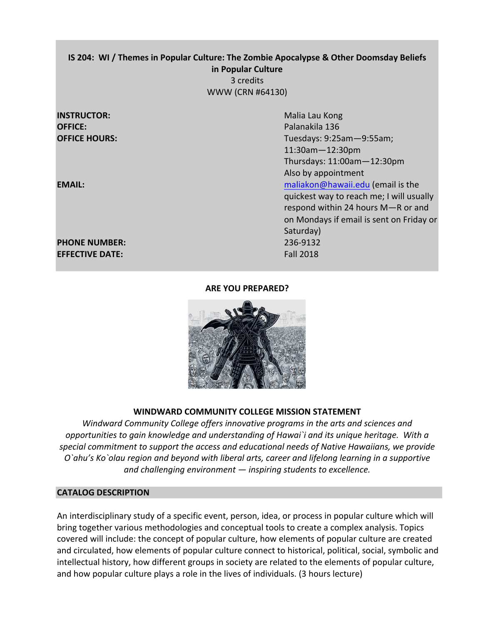# **IS 204: WI / Themes in Popular Culture: The Zombie Apocalypse & Other Doomsday Beliefs in Popular Culture** 3 credits WWW (CRN #64130)

# **INSTRUCTOR:** Malia Lau Kong **OFFICE: Palanakila** 136

# **PHONE NUMBER:** 236-9132 **EFFECTIVE DATE:** *CONTRESS <b>EFFECTIVE* DATE: *PHONE*

**OFFICE HOURS:** Tuesdays: 9:25am-9:55am; 11:30am—12:30pm Thursdays: 11:00am—12:30pm Also by appointment **EMAIL: EMAIL: EMAIL: EMAIL: EMAIL: EMAIL: EMAIL: EMAIL: EMAIL: EMAIL: EMAIL: EMAIL: EMAIL: EMAIL: EMAIL: EMAIL: EMAIL: EMAIL: EMAIL: EMAIL: EMAIL: EMAIL: EMAIL: EMAIL: EMAIL** quickest way to reach me; I will usually respond within 24 hours M-R or and on Mondays if email is sent on Friday or Saturday)

# **ARE YOU PREPARED?**



# **WINDWARD COMMUNITY COLLEGE MISSION STATEMENT**

*Windward Community College offers innovative programs in the arts and sciences and opportunities* to gain knowledge and understanding of Hawai`i and its unique heritage. With a special commitment to support the access and educational needs of Native Hawaiians, we provide *O*`ahu's Ko`olau region and beyond with liberal arts, career and lifelong learning in a supportive *and challenging environment* — *inspiring students to excellence.* 

# **CATALOG DESCRIPTION**

An interdisciplinary study of a specific event, person, idea, or process in popular culture which will bring together various methodologies and conceptual tools to create a complex analysis. Topics covered will include: the concept of popular culture, how elements of popular culture are created and circulated, how elements of popular culture connect to historical, political, social, symbolic and intellectual history, how different groups in society are related to the elements of popular culture, and how popular culture plays a role in the lives of individuals. (3 hours lecture)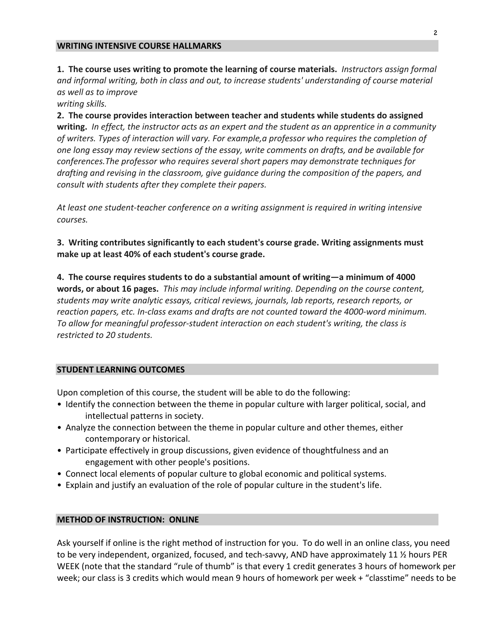#### **WRITING INTENSIVE COURSE HALLMARKS**

1. The course uses writing to promote the learning of course materials. *Instructors assign formal* and informal writing, both in class and out, to increase students' understanding of course material *as well as to improve*

*writing skills.*

**2.** The course provides interaction between teacher and students while students do assigned **writing.** In effect, the instructor acts as an expert and the student as an apprentice in a community of writers. Types of interaction will vary. For example, a professor who requires the completion of *one long essay may review sections of the essay, write comments on drafts, and be available for conferences.The professor who requires several short papers may demonstrate techniques for* drafting and revising in the classroom, give guidance during the composition of the papers, and *consult with students after they complete their papers.* 

At least one student-teacher conference on a writing assignment is required in writing intensive *courses.*

**3.** Writing contributes significantly to each student's course grade. Writing assignments must **make up at least 40% of each student's course grade.** 

4. The course requires students to do a substantial amount of writing-a minimum of 4000 **words, or about 16 pages.** This may include informal writing. Depending on the course content, *students may write analytic essays, critical reviews, journals, lab reports, research reports, or*  reaction papers, etc. In-class exams and drafts are not counted toward the 4000-word minimum. *To* allow for meaningful professor-student interaction on each student's writing, the class is restricted to 20 students.

#### **STUDENT LEARNING OUTCOMES**

Upon completion of this course, the student will be able to do the following:

- Identify the connection between the theme in popular culture with larger political, social, and intellectual patterns in society.
- Analyze the connection between the theme in popular culture and other themes, either contemporary or historical.
- Participate effectively in group discussions, given evidence of thoughtfulness and an engagement with other people's positions.
- Connect local elements of popular culture to global economic and political systems.
- Explain and justify an evaluation of the role of popular culture in the student's life.

#### **METHOD OF INSTRUCTION: ONLINE**

Ask yourself if online is the right method of instruction for you. To do well in an online class, you need to be very independent, organized, focused, and tech-savvy, AND have approximately 11  $\frac{1}{2}$  hours PER WEEK (note that the standard "rule of thumb" is that every 1 credit generates 3 hours of homework per week; our class is 3 credits which would mean 9 hours of homework per week + "classtime" needs to be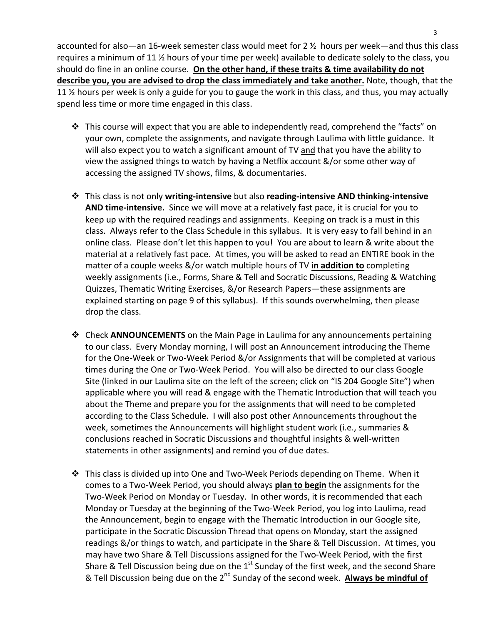accounted for also—an 16-week semester class would meet for 2  $\frac{1}{2}$  hours per week—and thus this class requires a minimum of 11  $\frac{1}{2}$  hours of your time per week) available to dedicate solely to the class, you should do fine in an online course. On the other hand, if these traits & time availability do not **describe you, you are advised to drop the class immediately and take another.** Note, though, that the 11  $\frac{1}{2}$  hours per week is only a guide for you to gauge the work in this class, and thus, you may actually spend less time or more time engaged in this class.

- $\clubsuit$  This course will expect that you are able to independently read, comprehend the "facts" on your own, complete the assignments, and navigate through Laulima with little guidance. It will also expect you to watch a significant amount of TV and that you have the ability to view the assigned things to watch by having a Netflix account  $\&$ /or some other way of accessing the assigned TV shows, films, & documentaries.
- $\dots$  This class is not only writing-intensive but also reading-intensive AND thinking-intensive AND time-intensive. Since we will move at a relatively fast pace, it is crucial for you to keep up with the required readings and assignments. Keeping on track is a must in this class. Always refer to the Class Schedule in this syllabus. It is very easy to fall behind in an online class. Please don't let this happen to you! You are about to learn & write about the material at a relatively fast pace. At times, you will be asked to read an ENTIRE book in the matter of a couple weeks &/or watch multiple hours of TV in addition to completing weekly assignments (i.e., Forms, Share & Tell and Socratic Discussions, Reading & Watching Quizzes, Thematic Writing Exercises, &/or Research Papers—these assignments are explained starting on page 9 of this syllabus). If this sounds overwhelming, then please drop the class.
- $\dots$  Check **ANNOUNCEMENTS** on the Main Page in Laulima for any announcements pertaining to our class. Every Monday morning, I will post an Announcement introducing the Theme for the One-Week or Two-Week Period &/or Assignments that will be completed at various times during the One or Two-Week Period. You will also be directed to our class Google Site (linked in our Laulima site on the left of the screen; click on "IS 204 Google Site") when applicable where you will read & engage with the Thematic Introduction that will teach you about the Theme and prepare you for the assignments that will need to be completed according to the Class Schedule. I will also post other Announcements throughout the week, sometimes the Announcements will highlight student work (i.e., summaries & conclusions reached in Socratic Discussions and thoughtful insights & well-written statements in other assignments) and remind you of due dates.
- $\cdot$  This class is divided up into One and Two-Week Periods depending on Theme. When it comes to a Two-Week Period, you should always **plan to begin** the assignments for the Two-Week Period on Monday or Tuesday. In other words, it is recommended that each Monday or Tuesday at the beginning of the Two-Week Period, you log into Laulima, read the Announcement, begin to engage with the Thematic Introduction in our Google site, participate in the Socratic Discussion Thread that opens on Monday, start the assigned readings &/or things to watch, and participate in the Share & Tell Discussion. At times, you may have two Share & Tell Discussions assigned for the Two-Week Period, with the first Share & Tell Discussion being due on the  $1<sup>st</sup>$  Sunday of the first week, and the second Share & Tell Discussion being due on the 2<sup>nd</sup> Sunday of the second week. **Always be mindful of**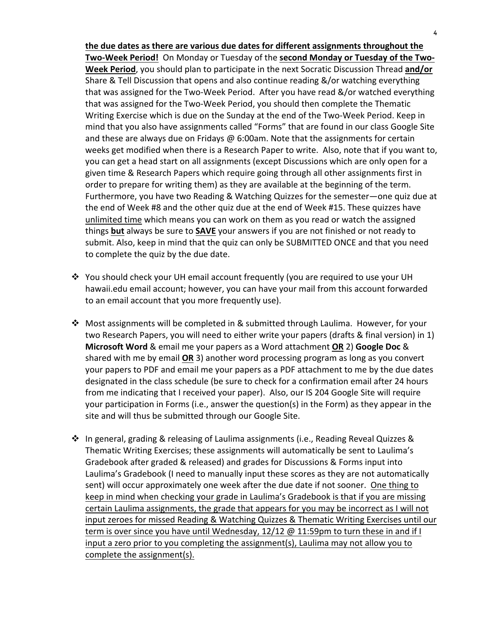the due dates as there are various due dates for different assignments throughout the Two-Week Period! On Monday or Tuesday of the second Monday or Tuesday of the Two-**Week Period**, you should plan to participate in the next Socratic Discussion Thread and/or Share & Tell Discussion that opens and also continue reading  $\&/$  or watching everything that was assigned for the Two-Week Period. After you have read &/or watched everything that was assigned for the Two-Week Period, you should then complete the Thematic Writing Exercise which is due on the Sunday at the end of the Two-Week Period. Keep in mind that you also have assignments called "Forms" that are found in our class Google Site and these are always due on Fridays  $\omega$  6:00am. Note that the assignments for certain weeks get modified when there is a Research Paper to write. Also, note that if you want to, you can get a head start on all assignments (except Discussions which are only open for a given time & Research Papers which require going through all other assignments first in order to prepare for writing them) as they are available at the beginning of the term. Furthermore, you have two Reading & Watching Quizzes for the semester—one quiz due at the end of Week #8 and the other quiz due at the end of Week #15. These quizzes have unlimited time which means you can work on them as you read or watch the assigned things **but** always be sure to **SAVE** your answers if you are not finished or not ready to submit. Also, keep in mind that the quiz can only be SUBMITTED ONCE and that you need to complete the quiz by the due date.

- ❖ You should check your UH email account frequently (you are required to use your UH hawaii.edu email account; however, you can have your mail from this account forwarded to an email account that you more frequently use).
- ❖ Most assignments will be completed in & submitted through Laulima. However, for your two Research Papers, you will need to either write your papers (drafts & final version) in 1) **Microsoft Word** & email me your papers as a Word attachment OR 2) Google Doc & shared with me by email OR 3) another word processing program as long as you convert your papers to PDF and email me your papers as a PDF attachment to me by the due dates designated in the class schedule (be sure to check for a confirmation email after 24 hours from me indicating that I received your paper). Also, our IS 204 Google Site will require your participation in Forms (i.e., answer the question(s) in the Form) as they appear in the site and will thus be submitted through our Google Site.
- $\cdot \cdot$  In general, grading & releasing of Laulima assignments (i.e., Reading Reveal Quizzes & Thematic Writing Exercises; these assignments will automatically be sent to Laulima's Gradebook after graded & released) and grades for Discussions & Forms input into Laulima's Gradebook (I need to manually input these scores as they are not automatically sent) will occur approximately one week after the due date if not sooner. One thing to keep in mind when checking your grade in Laulima's Gradebook is that if you are missing certain Laulima assignments, the grade that appears for you may be incorrect as I will not input zeroes for missed Reading & Watching Quizzes & Thematic Writing Exercises until our term is over since you have until Wednesday,  $12/12 \text{ } \textcircled{} 11:59$ pm to turn these in and if I input a zero prior to you completing the assignment(s), Laulima may not allow you to complete the assignment(s).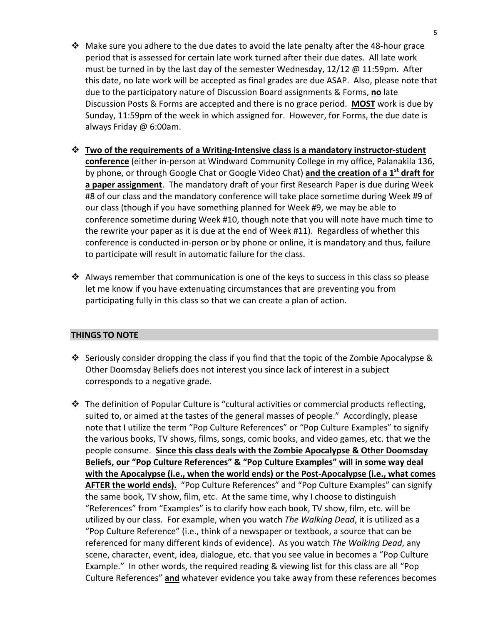- Make sure you adhere to the due dates to avoid the late penalty after the 48-hour grace period that is assessed for certain late work turned after their due dates. All late work must be turned in by the last day of the semester Wednesday,  $12/12 \text{ } \textcircled{} 11:59 \text{ pm}$ . After this date, no late work will be accepted as final grades are due ASAP. Also, please note that due to the participatory nature of Discussion Board assignments & Forms, **no** late Discussion Posts & Forms are accepted and there is no grace period. **MOST** work is due by Sunday, 11:59pm of the week in which assigned for. However, for Forms, the due date is always Friday @ 6:00am.
- $\dots$  **Two of the requirements of a Writing-Intensive class is a mandatory instructor-student** conference (either in-person at Windward Community College in my office, Palanakila 136, by phone, or through Google Chat or Google Video Chat) **and the creation of a 1<sup>st</sup> draft for** a paper assignment. The mandatory draft of your first Research Paper is due during Week #8 of our class and the mandatory conference will take place sometime during Week #9 of our class (though if you have something planned for Week #9, we may be able to conference sometime during Week #10, though note that you will note have much time to the rewrite your paper as it is due at the end of Week  $#11$ ). Regardless of whether this conference is conducted in-person or by phone or online, it is mandatory and thus, failure to participate will result in automatic failure for the class.
- $\cdot$  Always remember that communication is one of the keys to success in this class so please let me know if you have extenuating circumstances that are preventing you from participating fully in this class so that we can create a plan of action.

#### **THINGS TO NOTE**

- Seriously consider dropping the class if you find that the topic of the Zombie Apocalypse & Other Doomsday Beliefs does not interest you since lack of interest in a subject corresponds to a negative grade.
- $\cdot$  The definition of Popular Culture is "cultural activities or commercial products reflecting, suited to, or aimed at the tastes of the general masses of people." Accordingly, please note that I utilize the term "Pop Culture References" or "Pop Culture Examples" to signify the various books, TV shows, films, songs, comic books, and video games, etc. that we the people consume. Since this class deals with the Zombie Apocalypse & Other Doomsday Beliefs, our "Pop Culture References" & "Pop Culture Examples" will in some way deal with the Apocalypse (i.e., when the world ends) or the Post-Apocalypse (i.e., what comes **AFTER the world ends).** "Pop Culture References" and "Pop Culture Examples" can signify the same book, TV show, film, etc. At the same time, why I choose to distinguish "References" from "Examples" is to clarify how each book, TV show, film, etc. will be utilized by our class. For example, when you watch *The Walking Dead*, it is utilized as a "Pop Culture Reference" (i.e., think of a newspaper or textbook, a source that can be referenced for many different kinds of evidence). As you watch *The Walking Dead*, any scene, character, event, idea, dialogue, etc. that you see value in becomes a "Pop Culture Example." In other words, the required reading & viewing list for this class are all "Pop" Culture References" and whatever evidence you take away from these references becomes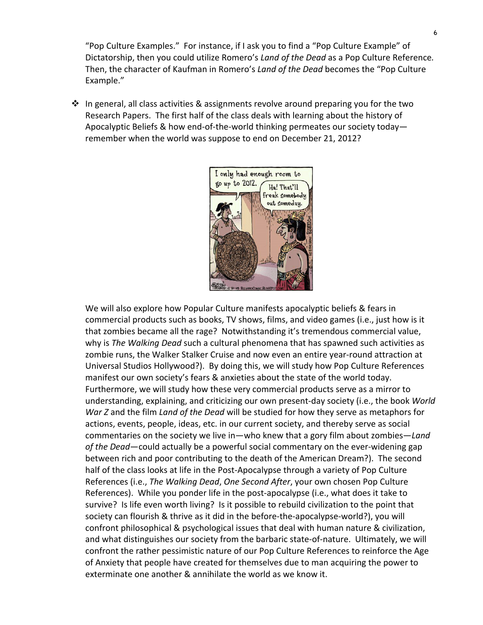"Pop Culture Examples." For instance, if I ask you to find a "Pop Culture Example" of Dictatorship, then you could utilize Romero's *Land of the Dead* as a Pop Culture Reference. Then, the character of Kaufman in Romero's *Land of the Dead* becomes the "Pop Culture Example."

 $\cdot \cdot$  In general, all class activities & assignments revolve around preparing you for the two Research Papers. The first half of the class deals with learning about the history of Apocalyptic Beliefs & how end-of-the-world thinking permeates our society today remember when the world was suppose to end on December 21, 2012?



We will also explore how Popular Culture manifests apocalyptic beliefs & fears in commercial products such as books, TV shows, films, and video games (i.e., just how is it that zombies became all the rage? Notwithstanding it's tremendous commercial value, why is *The Walking Dead* such a cultural phenomena that has spawned such activities as zombie runs, the Walker Stalker Cruise and now even an entire year-round attraction at Universal Studios Hollywood?). By doing this, we will study how Pop Culture References manifest our own society's fears & anxieties about the state of the world today. Furthermore, we will study how these very commercial products serve as a mirror to understanding, explaining, and criticizing our own present-day society (i.e., the book *World War* Z and the film *Land of the Dead* will be studied for how they serve as metaphors for actions, events, people, ideas, etc. in our current society, and thereby serve as social commentaries on the society we live in—who knew that a gory film about zombies—*Land* of the Dead—could actually be a powerful social commentary on the ever-widening gap between rich and poor contributing to the death of the American Dream?). The second half of the class looks at life in the Post-Apocalypse through a variety of Pop Culture References (i.e., *The Walking Dead, One Second After*, your own chosen Pop Culture References). While you ponder life in the post-apocalypse (i.e., what does it take to survive? Is life even worth living? Is it possible to rebuild civilization to the point that society can flourish & thrive as it did in the before-the-apocalypse-world?), you will confront philosophical & psychological issues that deal with human nature & civilization, and what distinguishes our society from the barbaric state-of-nature. Ultimately, we will confront the rather pessimistic nature of our Pop Culture References to reinforce the Age of Anxiety that people have created for themselves due to man acquiring the power to exterminate one another & annihilate the world as we know it.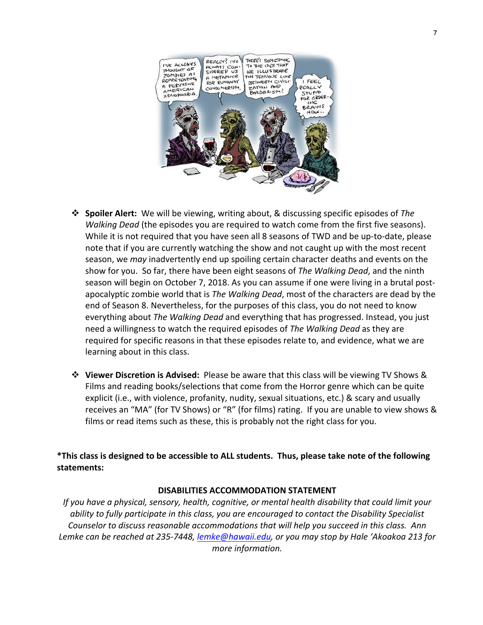

- \* Spoiler Alert: We will be viewing, writing about, & discussing specific episodes of The *Walking Dead* (the episodes you are required to watch come from the first five seasons). While it is not required that you have seen all 8 seasons of TWD and be up-to-date, please note that if you are currently watching the show and not caught up with the most recent season, we *may* inadvertently end up spoiling certain character deaths and events on the show for you. So far, there have been eight seasons of *The Walking Dead*, and the ninth season will begin on October 7, 2018. As you can assume if one were living in a brutal postapocalyptic zombie world that is *The Walking Dead*, most of the characters are dead by the end of Season 8. Nevertheless, for the purposes of this class, you do not need to know everything about The Walking Dead and everything that has progressed. Instead, you just need a willingness to watch the required episodes of *The Walking Dead* as they are required for specific reasons in that these episodes relate to, and evidence, what we are learning about in this class.
- $\dots$  **Viewer Discretion is Advised:** Please be aware that this class will be viewing TV Shows & Films and reading books/selections that come from the Horror genre which can be quite explicit (i.e., with violence, profanity, nudity, sexual situations, etc.) & scary and usually receives an "MA" (for TV Shows) or "R" (for films) rating. If you are unable to view shows & films or read items such as these, this is probably not the right class for you.

\*This class is designed to be accessible to ALL students. Thus, please take note of the following **statements:**

#### **DISABILITIES ACCOMMODATION STATEMENT**

*If* you have a physical, sensory, health, cognitive, or mental health disability that could limit your *ability* to fully participate in this class, you are encouraged to contact the Disability Specialist Counselor to discuss reasonable accommodations that will help you succeed in this class. Ann Lemke can be reached at 235-7448, lemke@hawaii.edu, or you may stop by Hale 'Akoakoa 213 for *more information.*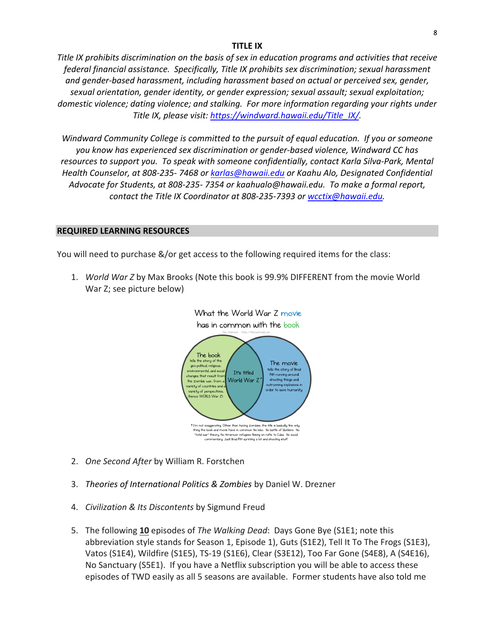#### **TITLE IX**

*Title* IX prohibits discrimination on the basis of sex in education programs and activities that receive *federal financial assistance. Specifically, Title IX prohibits sex discrimination; sexual harassment* and gender-based harassment, including harassment based on actual or perceived sex, gender, sexual orientation, gender identity, or gender expression; sexual assault; sexual exploitation; domestic violence; dating violence; and stalking. For more information regarding your rights under Title IX, please visit: https://windward.hawaii.edu/Title\_IX/.

Windward Community College is committed to the pursuit of equal education. If you or someone you know has experienced sex discrimination or gender-based violence, Windward CC has resources to support you. To speak with someone confidentially, contact Karla Silva-Park, Mental *Health Counselor, at 808-235-7468 or karlas@hawaii.edu or Kaahu Alo, Designated Confidential* Advocate for Students, at 808-235- 7354 or kaahualo@hawaii.edu. To make a formal report, *contact the Title IX Coordinator at 808-235-7393 or wcctix@hawaii.edu.* 

#### **REQUIRED LEARNING RESOURCES**

You will need to purchase &/or get access to the following required items for the class:

1. *World War Z* by Max Brooks (Note this book is 99.9% DIFFERENT from the movie World War Z; see picture below)

What the World War Z movie



- 2. *One Second After by William R. Forstchen*
- 3. *Theories of International Politics & Zombies* by Daniel W. Drezner
- 4. *Civilization & Its Discontents* by Sigmund Freud
- 5. The following 10 episodes of *The Walking Dead*: Days Gone Bye (S1E1; note this abbreviation style stands for Season 1, Episode 1), Guts (S1E2), Tell It To The Frogs (S1E3), Vatos (S1E4), Wildfire (S1E5), TS-19 (S1E6), Clear (S3E12), Too Far Gone (S4E8), A (S4E16), No Sanctuary (S5E1). If you have a Netflix subscription you will be able to access these episodes of TWD easily as all 5 seasons are available. Former students have also told me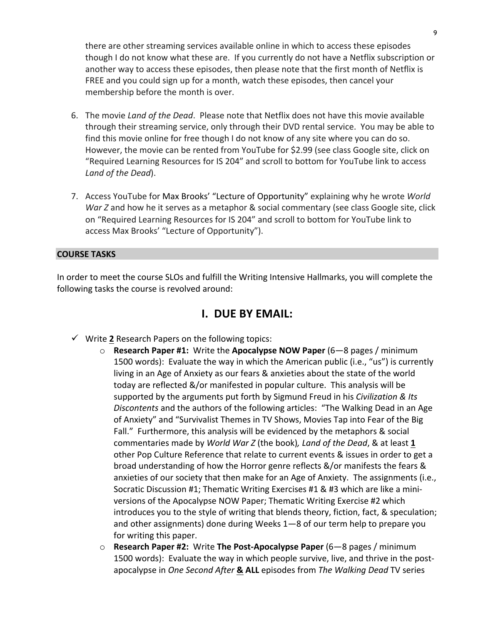there are other streaming services available online in which to access these episodes though I do not know what these are. If you currently do not have a Netflix subscription or another way to access these episodes, then please note that the first month of Netflix is FREE and you could sign up for a month, watch these episodes, then cancel your membership before the month is over.

- 6. The movie *Land of the Dead*. Please note that Netflix does not have this movie available through their streaming service, only through their DVD rental service. You may be able to find this movie online for free though I do not know of any site where you can do so. However, the movie can be rented from YouTube for \$2.99 (see class Google site, click on "Required Learning Resources for IS 204" and scroll to bottom for YouTube link to access *Land of the Dead*).
- 7. Access YouTube for Max Brooks' "Lecture of Opportunity" explaining why he wrote World *War* Z and how he it serves as a metaphor & social commentary (see class Google site, click on "Required Learning Resources for IS 204" and scroll to bottom for YouTube link to access Max Brooks' "Lecture of Opportunity").

#### **COURSE TASKS**

In order to meet the course SLOs and fulfill the Writing Intensive Hallmarks, you will complete the following tasks the course is revolved around:

# **I. DUE BY EMAIL:**

- $\checkmark$  Write 2 Research Papers on the following topics:
	- **Research Paper #1:** Write the Apocalypse NOW Paper (6–8 pages / minimum 1500 words): Evaluate the way in which the American public (i.e., "us") is currently living in an Age of Anxiety as our fears & anxieties about the state of the world today are reflected &/or manifested in popular culture. This analysis will be supported by the arguments put forth by Sigmund Freud in his *Civilization & Its* Discontents and the authors of the following articles: "The Walking Dead in an Age of Anxiety" and "Survivalist Themes in TV Shows, Movies Tap into Fear of the Big Fall." Furthermore, this analysis will be evidenced by the metaphors & social commentaries made by *World War Z* (the book), Land of the Dead, & at least 1 other Pop Culture Reference that relate to current events & issues in order to get a broad understanding of how the Horror genre reflects &/or manifests the fears & anxieties of our society that then make for an Age of Anxiety. The assignments (i.e., Socratic Discussion #1; Thematic Writing Exercises #1 & #3 which are like a miniversions of the Apocalypse NOW Paper; Thematic Writing Exercise #2 which introduces you to the style of writing that blends theory, fiction, fact, & speculation; and other assignments) done during Weeks  $1-8$  of our term help to prepare you for writing this paper.
	- **Research Paper #2: Write The Post-Apocalypse Paper** (6–8 pages / minimum 1500 words): Evaluate the way in which people survive, live, and thrive in the postapocalypse in *One Second After* & ALL episodes from *The Walking Dead* TV series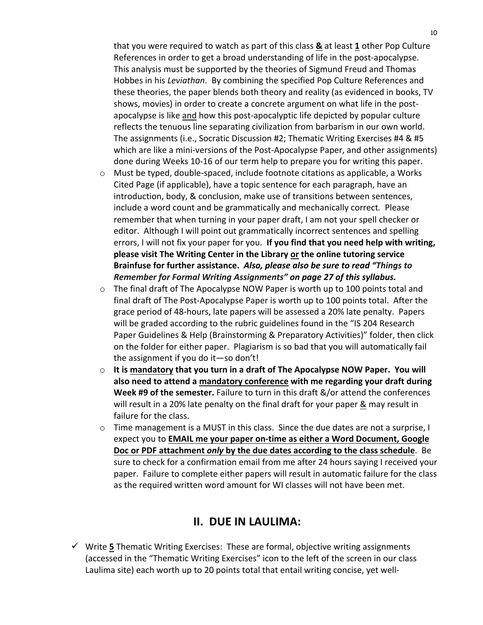that you were required to watch as part of this class & at least 1 other Pop Culture References in order to get a broad understanding of life in the post-apocalypse. This analysis must be supported by the theories of Sigmund Freud and Thomas Hobbes in his *Leviathan*. By combining the specified Pop Culture References and these theories, the paper blends both theory and reality (as evidenced in books, TV shows, movies) in order to create a concrete argument on what life in the postapocalypse is like and how this post-apocalyptic life depicted by popular culture reflects the tenuous line separating civilization from barbarism in our own world. The assignments (i.e., Socratic Discussion #2; Thematic Writing Exercises #4 & #5 which are like a mini-versions of the Post-Apocalypse Paper, and other assignments) done during Weeks 10-16 of our term help to prepare you for writing this paper.

- $\circ$  Must be typed, double-spaced, include footnote citations as applicable, a Works Cited Page (if applicable), have a topic sentence for each paragraph, have an introduction, body, & conclusion, make use of transitions between sentences, include a word count and be grammatically and mechanically correct. Please remember that when turning in your paper draft, I am not your spell checker or editor. Although I will point out grammatically incorrect sentences and spelling errors, I will not fix your paper for you. If you find that you need help with writing, **please visit The Writing Center in the Library or the online tutoring service** Brainfuse for further assistance. Also, please also be sure to read "Things to Remember for Formal Writing Assignments" on page 27 of this syllabus.
- $\circ$  The final draft of The Apocalypse NOW Paper is worth up to 100 points total and final draft of The Post-Apocalypse Paper is worth up to 100 points total. After the grace period of 48-hours, late papers will be assessed a 20% late penalty. Papers will be graded according to the rubric guidelines found in the "IS 204 Research Paper Guidelines & Help (Brainstorming & Preparatory Activities)" folder, then click on the folder for either paper. Plagiarism is so bad that you will automatically fail the assignment if you do it—so don't!
- $\circ$  It is mandatory that you turn in a draft of The Apocalypse NOW Paper. You will also need to attend a mandatory conference with me regarding your draft during **Week #9 of the semester.** Failure to turn in this draft &/or attend the conferences will result in a 20% late penalty on the final draft for your paper & may result in failure for the class.
- $\circ$  Time management is a MUST in this class. Since the due dates are not a surprise, I expect you to **EMAIL me your paper on-time as either a Word Document, Google Doc or PDF attachment** *only* **by the due dates according to the class schedule. Be** sure to check for a confirmation email from me after 24 hours saying I received your paper. Failure to complete either papers will result in automatic failure for the class as the required written word amount for WI classes will not have been met.

# **II. DUE IN LAULIMA:**

 $\checkmark$  Write 5 Thematic Writing Exercises: These are formal, objective writing assignments (accessed in the "Thematic Writing Exercises" icon to the left of the screen in our class Laulima site) each worth up to 20 points total that entail writing concise, yet well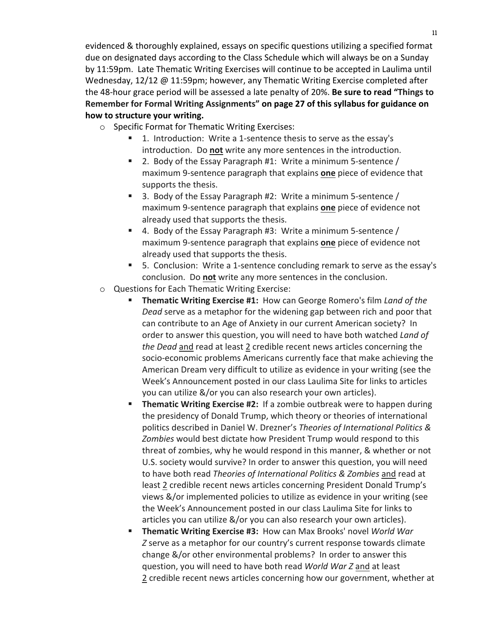evidenced & thoroughly explained, essays on specific questions utilizing a specified format due on designated days according to the Class Schedule which will always be on a Sunday by 11:59pm. Late Thematic Writing Exercises will continue to be accepted in Laulima until Wednesday,  $12/12 \text{ } \textcircled{} 11:59 \text{pm}$ ; however, any Thematic Writing Exercise completed after the 48-hour grace period will be assessed a late penalty of 20%. **Be sure to read "Things to** Remember for Formal Writing Assignments" on page 27 of this syllabus for guidance on **how to structure your writing.**

- $\circ$  Specific Format for Thematic Writing Exercises:
	- 1. Introduction: Write a 1-sentence thesis to serve as the essay's introduction. Do **not** write any more sentences in the introduction.
	- **E** 2. Body of the Essay Paragraph #1: Write a minimum 5-sentence / maximum 9-sentence paragraph that explains **one** piece of evidence that supports the thesis.
	- 3. Body of the Essay Paragraph #2: Write a minimum 5-sentence  $/$ maximum 9-sentence paragraph that explains **one** piece of evidence not already used that supports the thesis.
	- 4. Body of the Essay Paragraph #3: Write a minimum 5-sentence / maximum 9-sentence paragraph that explains **one** piece of evidence not already used that supports the thesis.
	- 5. Conclusion: Write a 1-sentence concluding remark to serve as the essay's conclusion. Do not write any more sentences in the conclusion.
- $\circ$  Questions for Each Thematic Writing Exercise:
	- **Thematic Writing Exercise #1:** How can George Romero's film *Land of the Dead* serve as a metaphor for the widening gap between rich and poor that can contribute to an Age of Anxiety in our current American society? In order to answer this question, you will need to have both watched *Land of the Dead* and read at least 2 credible recent news articles concerning the socio-economic problems Americans currently face that make achieving the American Dream very difficult to utilize as evidence in your writing (see the Week's Announcement posted in our class Laulima Site for links to articles you can utilize &/or you can also research your own articles).
	- **Thematic Writing Exercise #2:** If a zombie outbreak were to happen during the presidency of Donald Trump, which theory or theories of international politics described in Daniel W. Drezner's *Theories of International Politics &* Zombies would best dictate how President Trump would respond to this threat of zombies, why he would respond in this manner, & whether or not U.S. society would survive? In order to answer this question, you will need to have both read *Theories of International Politics & Zombies* and read at least 2 credible recent news articles concerning President Donald Trump's views &/or implemented policies to utilize as evidence in your writing (see the Week's Announcement posted in our class Laulima Site for links to articles you can utilize &/or you can also research your own articles).
	- **Thematic Writing Exercise #3: How can Max Brooks' novel World War** *Z* serve as a metaphor for our country's current response towards climate change &/or other environmental problems? In order to answer this question, you will need to have both read *World War Z* and at least 2 credible recent news articles concerning how our government, whether at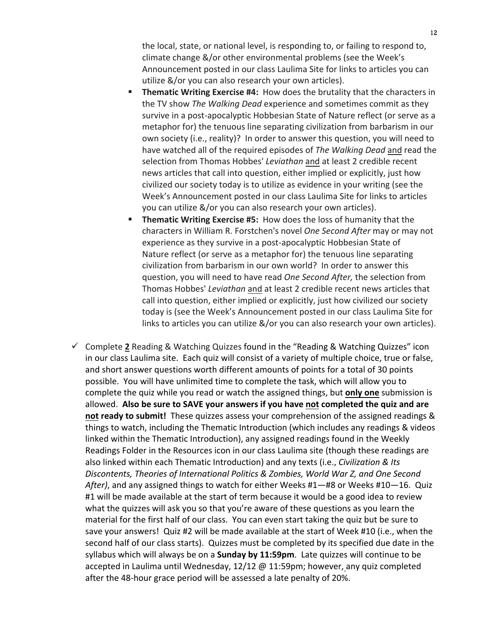the local, state, or national level, is responding to, or failing to respond to, climate change &/or other environmental problems (see the Week's Announcement posted in our class Laulima Site for links to articles you can utilize &/or you can also research your own articles).

- **Thematic Writing Exercise #4:** How does the brutality that the characters in the TV show *The Walking Dead* experience and sometimes commit as they survive in a post-apocalyptic Hobbesian State of Nature reflect (or serve as a metaphor for) the tenuous line separating civilization from barbarism in our own society (i.e., reality)? In order to answer this question, you will need to have watched all of the required episodes of *The Walking Dead* and read the selection from Thomas Hobbes' *Leviathan* and at least 2 credible recent news articles that call into question, either implied or explicitly, just how civilized our society today is to utilize as evidence in your writing (see the Week's Announcement posted in our class Laulima Site for links to articles you can utilize &/or you can also research your own articles).
- **Thematic Writing Exercise #5:** How does the loss of humanity that the characters in William R. Forstchen's novel *One Second After* may or may not experience as they survive in a post-apocalyptic Hobbesian State of Nature reflect (or serve as a metaphor for) the tenuous line separating civilization from barbarism in our own world? In order to answer this question, you will need to have read One Second After, the selection from Thomas Hobbes' *Leviathan* and at least 2 credible recent news articles that call into question, either implied or explicitly, just how civilized our society today is (see the Week's Announcement posted in our class Laulima Site for links to articles you can utilize &/or you can also research your own articles).
- $\checkmark$  Complete 2 Reading & Watching Quizzes found in the "Reading & Watching Quizzes" icon in our class Laulima site. Each quiz will consist of a variety of multiple choice, true or false, and short answer questions worth different amounts of points for a total of 30 points possible. You will have unlimited time to complete the task, which will allow you to complete the quiz while you read or watch the assigned things, but only one submission is allowed. Also be sure to SAVE your answers if you have not completed the quiz and are not ready to submit! These quizzes assess your comprehension of the assigned readings & things to watch, including the Thematic Introduction (which includes any readings & videos linked within the Thematic Introduction), any assigned readings found in the Weekly Readings Folder in the Resources icon in our class Laulima site (though these readings are also linked within each Thematic Introduction) and any texts (i.e., *Civilization & Its* Discontents, Theories of International Politics & Zombies, World War Z, and One Second After), and any assigned things to watch for either Weeks #1—#8 or Weeks #10—16. Quiz #1 will be made available at the start of term because it would be a good idea to review what the quizzes will ask you so that you're aware of these questions as you learn the material for the first half of our class. You can even start taking the quiz but be sure to save your answers! Quiz #2 will be made available at the start of Week #10 (i.e., when the second half of our class starts). Quizzes must be completed by its specified due date in the syllabus which will always be on a **Sunday by 11:59pm**. Late quizzes will continue to be accepted in Laulima until Wednesday,  $12/12 \omega 11:59$ pm; however, any quiz completed after the 48-hour grace period will be assessed a late penalty of 20%.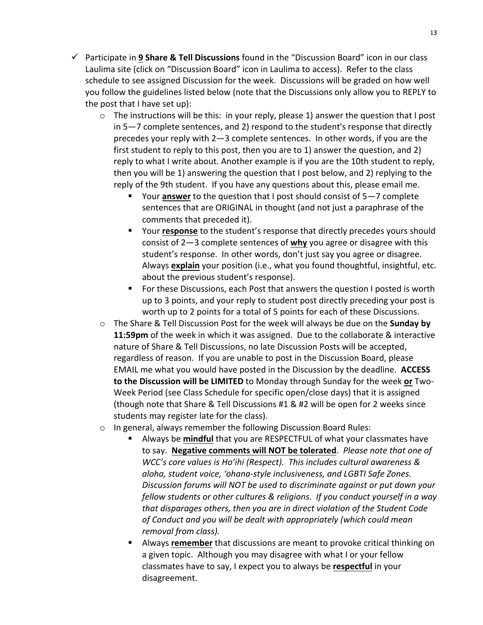- $\checkmark$  Participate in 9 **Share & Tell Discussions** found in the "Discussion Board" icon in our class Laulima site (click on "Discussion Board" icon in Laulima to access). Refer to the class schedule to see assigned Discussion for the week. Discussions will be graded on how well you follow the guidelines listed below (note that the Discussions only allow you to REPLY to the post that I have set up):
	- $\circ$  The instructions will be this: in your reply, please 1) answer the question that I post in  $5-7$  complete sentences, and 2) respond to the student's response that directly precedes your reply with  $2-3$  complete sentences. In other words, if you are the first student to reply to this post, then you are to 1) answer the question, and 2) reply to what I write about. Another example is if you are the 10th student to reply, then you will be 1) answering the question that I post below, and 2) replying to the reply of the 9th student. If you have any questions about this, please email me.
		- Your **answer** to the question that I post should consist of 5–7 complete sentences that are ORIGINAL in thought (and not just a paraphrase of the comments that preceded it).
		- Your **response** to the student's response that directly precedes yours should consist of 2-3 complete sentences of why you agree or disagree with this student's response. In other words, don't just say you agree or disagree. Always explain your position (i.e., what you found thoughtful, insightful, etc. about the previous student's response).
		- For these Discussions, each Post that answers the question I posted is worth up to 3 points, and your reply to student post directly preceding your post is worth up to 2 points for a total of 5 points for each of these Discussions.
	- $\circ$  The Share & Tell Discussion Post for the week will always be due on the **Sunday by 11:59pm** of the week in which it was assigned. Due to the collaborate & interactive nature of Share & Tell Discussions, no late Discussion Posts will be accepted, regardless of reason. If you are unable to post in the Discussion Board, please EMAIL me what you would have posted in the Discussion by the deadline. **ACCESS to the Discussion will be LIMITED** to Monday through Sunday for the week or Two-Week Period (see Class Schedule for specific open/close days) that it is assigned (though note that Share & Tell Discussions  $#1$  &  $#2$  will be open for 2 weeks since students may register late for the class).
	- $\circ$  In general, always remember the following Discussion Board Rules:
		- Always be **mindful** that you are RESPECTFUL of what your classmates have to say. Negative comments will NOT be tolerated. Please note that one of *WCC's* core values is Ho'ihi (Respect). This includes cultural awareness & aloha, student voice, 'ohana-style inclusiveness, and LGBTI Safe Zones. Discussion forums will NOT be used to discriminate against or put down your *fellow students or other cultures & religions. If you conduct yourself in a way* that disparages others, then you are in direct violation of the Student Code of Conduct and you will be dealt with appropriately (which could mean *removal from class).*
		- Always **remember** that discussions are meant to provoke critical thinking on a given topic. Although you may disagree with what I or your fellow classmates have to say, I expect you to always be **respectful** in your disagreement.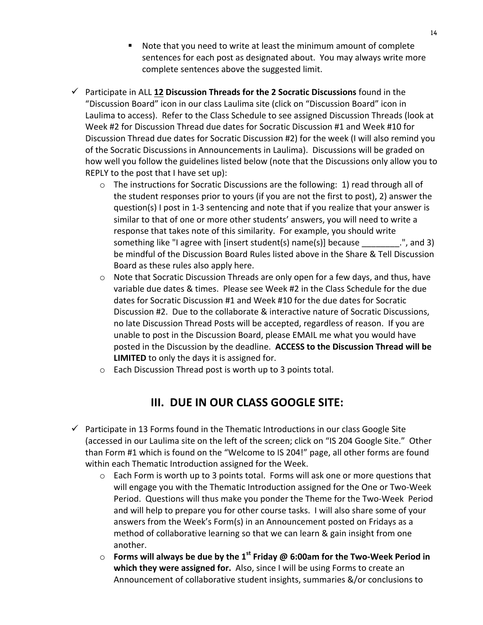- Note that you need to write at least the minimum amount of complete sentences for each post as designated about. You may always write more complete sentences above the suggested limit.
- $\checkmark$  Participate in ALL 12 Discussion Threads for the 2 Socratic Discussions found in the "Discussion Board" icon in our class Laulima site (click on "Discussion Board" icon in Laulima to access). Refer to the Class Schedule to see assigned Discussion Threads (look at Week #2 for Discussion Thread due dates for Socratic Discussion #1 and Week #10 for Discussion Thread due dates for Socratic Discussion #2) for the week (I will also remind you of the Socratic Discussions in Announcements in Laulima). Discussions will be graded on how well you follow the guidelines listed below (note that the Discussions only allow you to REPLY to the post that I have set up):
	- $\circ$  The instructions for Socratic Discussions are the following: 1) read through all of the student responses prior to yours (if you are not the first to post), 2) answer the question(s) I post in 1-3 sentencing and note that if you realize that your answer is similar to that of one or more other students' answers, you will need to write a response that takes note of this similarity. For example, you should write something like "I agree with [insert student(s)  $name(s)$ ] because \_\_\_\_\_\_\_\_.", and 3) be mindful of the Discussion Board Rules listed above in the Share & Tell Discussion Board as these rules also apply here.
	- $\circ$  Note that Socratic Discussion Threads are only open for a few days, and thus, have variable due dates & times. Please see Week #2 in the Class Schedule for the due dates for Socratic Discussion #1 and Week #10 for the due dates for Socratic Discussion #2. Due to the collaborate & interactive nature of Socratic Discussions, no late Discussion Thread Posts will be accepted, regardless of reason. If you are unable to post in the Discussion Board, please EMAIL me what you would have posted in the Discussion by the deadline. ACCESS to the Discussion Thread will be **LIMITED** to only the days it is assigned for.
	- $\circ$  Each Discussion Thread post is worth up to 3 points total.

# **III. DUE IN OUR CLASS GOOGLE SITE:**

- $\checkmark$  Participate in 13 Forms found in the Thematic Introductions in our class Google Site (accessed in our Laulima site on the left of the screen; click on "IS 204 Google Site." Other than Form #1 which is found on the "Welcome to IS 204!" page, all other forms are found within each Thematic Introduction assigned for the Week.
	- $\circ$  Each Form is worth up to 3 points total. Forms will ask one or more questions that will engage you with the Thematic Introduction assigned for the One or Two-Week Period. Questions will thus make you ponder the Theme for the Two-Week Period and will help to prepare you for other course tasks. I will also share some of your answers from the Week's Form(s) in an Announcement posted on Fridays as a method of collaborative learning so that we can learn & gain insight from one another.
	- $\circ$  **Forms will always be due by the 1<sup>st</sup> Friday @ 6:00am for the Two-Week Period in** which they were assigned for. Also, since I will be using Forms to create an Announcement of collaborative student insights, summaries &/or conclusions to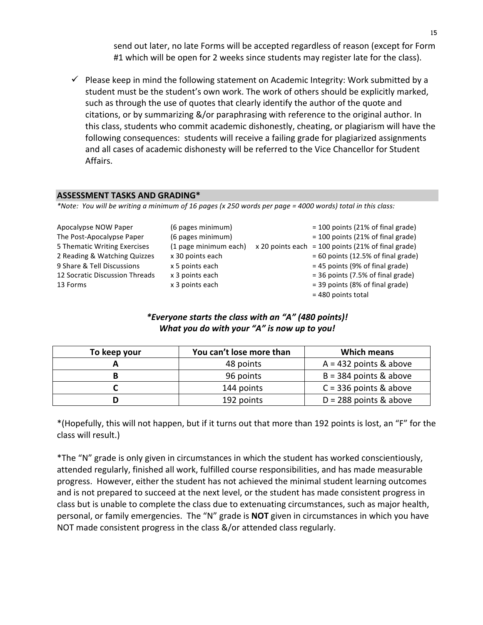send out later, no late Forms will be accepted regardless of reason (except for Form #1 which will be open for 2 weeks since students may register late for the class).

 $\checkmark$  Please keep in mind the following statement on Academic Integrity: Work submitted by a student must be the student's own work. The work of others should be explicitly marked, such as through the use of quotes that clearly identify the author of the quote and citations, or by summarizing &/or paraphrasing with reference to the original author. In this class, students who commit academic dishonestly, cheating, or plagiarism will have the following consequences: students will receive a failing grade for plagiarized assignments and all cases of academic dishonesty will be referred to the Vice Chancellor for Student Affairs.

#### **ASSESSMENT TASKS AND GRADING\***

*\*Note: You will be writing a minimum of 16 pages (x 250 words per page = 4000 words) total in this class:*

| Apocalypse NOW Paper           | (6 pages minimum)     | $= 100$ points (21% of final grade)                  |
|--------------------------------|-----------------------|------------------------------------------------------|
| The Post-Apocalypse Paper      | (6 pages minimum)     | $= 100$ points (21% of final grade)                  |
| 5 Thematic Writing Exercises   | (1 page minimum each) | $x$ 20 points each = 100 points (21% of final grade) |
| 2 Reading & Watching Quizzes   | x 30 points each      | $= 60$ points (12.5% of final grade)                 |
| 9 Share & Tell Discussions     | x 5 points each       | $= 45$ points (9% of final grade)                    |
| 12 Socratic Discussion Threads | x 3 points each       | $=$ 36 points (7.5% of final grade)                  |
| 13 Forms                       | x 3 points each       | = 39 points (8% of final grade)                      |
|                                |                       |                                                      |

= 480 points total

# *\*Everyone starts the class with an "A" (480 points)! What you do with your "A" is now up to you!*

| To keep your | You can't lose more than | <b>Which means</b>       |
|--------------|--------------------------|--------------------------|
|              | 48 points                | $A = 432$ points & above |
|              | 96 points                | $B = 384$ points & above |
|              | 144 points               | $C = 336$ points & above |
|              | 192 points               | $D = 288$ points & above |

\*(Hopefully, this will not happen, but if it turns out that more than 192 points is lost, an "F" for the class will result.)

\*The "N" grade is only given in circumstances in which the student has worked conscientiously, attended regularly, finished all work, fulfilled course responsibilities, and has made measurable progress. However, either the student has not achieved the minimal student learning outcomes and is not prepared to succeed at the next level, or the student has made consistent progress in class but is unable to complete the class due to extenuating circumstances, such as major health, personal, or family emergencies. The "N" grade is **NOT** given in circumstances in which you have NOT made consistent progress in the class &/or attended class regularly.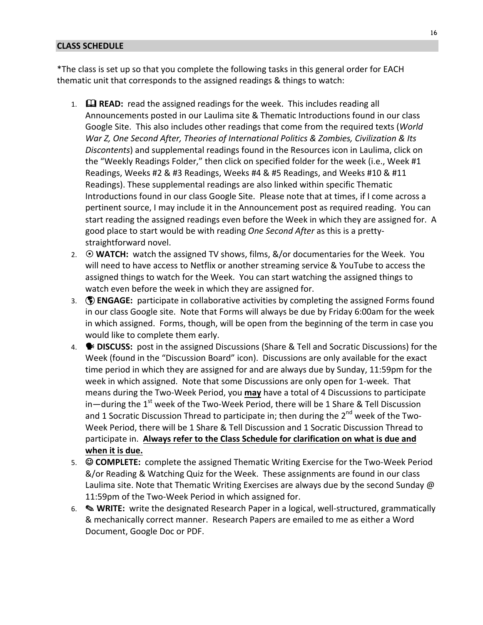#### **CLASS SCHEDULE**

\*The class is set up so that you complete the following tasks in this general order for EACH thematic unit that corresponds to the assigned readings & things to watch:

- 1. **Example READ:** read the assigned readings for the week. This includes reading all Announcements posted in our Laulima site & Thematic Introductions found in our class Google Site. This also includes other readings that come from the required texts (*World War Z, One Second After, Theories of International Politics & Zombies, Civilization & Its Discontents*) and supplemental readings found in the Resources icon in Laulima, click on the "Weekly Readings Folder," then click on specified folder for the week (i.e., Week #1 Readings, Weeks #2 & #3 Readings, Weeks #4 & #5 Readings, and Weeks #10 & #11 Readings). These supplemental readings are also linked within specific Thematic Introductions found in our class Google Site. Please note that at times, if I come across a pertinent source, I may include it in the Announcement post as required reading. You can start reading the assigned readings even before the Week in which they are assigned for. A good place to start would be with reading *One Second After* as this is a prettystraightforward novel.
- 2.  $\odot$  **WATCH:** watch the assigned TV shows, films, &/or documentaries for the Week. You will need to have access to Netflix or another streaming service & YouTube to access the assigned things to watch for the Week. You can start watching the assigned things to watch even before the week in which they are assigned for.
- 3. **(1) ENGAGE:** participate in collaborative activities by completing the assigned Forms found in our class Google site. Note that Forms will always be due by Friday 6:00am for the week in which assigned. Forms, though, will be open from the beginning of the term in case you would like to complete them early.
- 4. **Brith DISCUSS:** post in the assigned Discussions (Share & Tell and Socratic Discussions) for the Week (found in the "Discussion Board" icon). Discussions are only available for the exact time period in which they are assigned for and are always due by Sunday, 11:59pm for the week in which assigned. Note that some Discussions are only open for 1-week. That means during the Two-Week Period, you **may** have a total of 4 Discussions to participate in—during the  $1^{st}$  week of the Two-Week Period, there will be 1 Share & Tell Discussion and 1 Socratic Discussion Thread to participate in; then during the  $2^{nd}$  week of the Two-Week Period, there will be 1 Share & Tell Discussion and 1 Socratic Discussion Thread to participate in. Always refer to the Class Schedule for clarification on what is due and when it is due.
- 5. **© COMPLETE:** complete the assigned Thematic Writing Exercise for the Two-Week Period &/or Reading & Watching Quiz for the Week. These assignments are found in our class Laulima site. Note that Thematic Writing Exercises are always due by the second Sunday  $\omega$ 11:59pm of the Two-Week Period in which assigned for.
- 6.  $\otimes$  **WRITE:** write the designated Research Paper in a logical, well-structured, grammatically & mechanically correct manner. Research Papers are emailed to me as either a Word Document, Google Doc or PDF.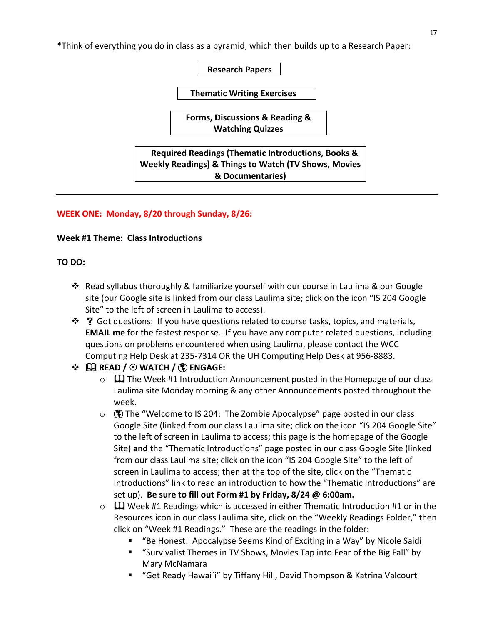\*Think of everything you do in class as a pyramid, which then builds up to a Research Paper:

**Research Papers**

**Thematic Writing Exercises** 

**Forms, Discussions & Reading & Watching Quizzes**

**Required Readings (Thematic Introductions, Books & Weekly Readings) & Things to Watch (TV Shows, Movies & Documentaries)**

#### **WEEK ONE: Monday, 8/20 through Sunday, 8/26:**

#### **Week #1 Theme: Class Introductions**

#### **TO DO:**

- ❖ Read syllabus thoroughly & familiarize yourself with our course in Laulima & our Google site (our Google site is linked from our class Laulima site; click on the icon "IS 204 Google Site" to the left of screen in Laulima to access).
- $\cdot \cdot$  ? Got questions: If you have questions related to course tasks, topics, and materials, **EMAIL** me for the fastest response. If you have any computer related questions, including questions on problems encountered when using Laulima, please contact the WCC Computing Help Desk at 235-7314 OR the UH Computing Help Desk at 956-8883.

# v & **READ /** 8 **WATCH /** þ **ENGAGE:**

- $\circ$   $\Box$  The Week #1 Introduction Announcement posted in the Homepage of our class Laulima site Monday morning & any other Announcements posted throughout the week.
- $\circ$  ( $\circ$ ) The "Welcome to IS 204: The Zombie Apocalypse" page posted in our class Google Site (linked from our class Laulima site; click on the icon "IS 204 Google Site" to the left of screen in Laulima to access; this page is the homepage of the Google Site) and the "Thematic Introductions" page posted in our class Google Site (linked from our class Laulima site; click on the icon "IS 204 Google Site" to the left of screen in Laulima to access; then at the top of the site, click on the "Thematic Introductions" link to read an introduction to how the "Thematic Introductions" are set up). Be sure to fill out Form #1 by Friday, 8/24 @ 6:00am.
- $\circ$   $\Box$  Week #1 Readings which is accessed in either Thematic Introduction #1 or in the Resources icon in our class Laulima site, click on the "Weekly Readings Folder," then click on "Week #1 Readings." These are the readings in the folder:
	- § "Be Honest: Apocalypse Seems Kind of Exciting in a Way" by Nicole Saidi
	- "Survivalist Themes in TV Shows, Movies Tap into Fear of the Big Fall" by Mary McNamara
	- "Get Ready Hawai`i" by Tiffany Hill, David Thompson & Katrina Valcourt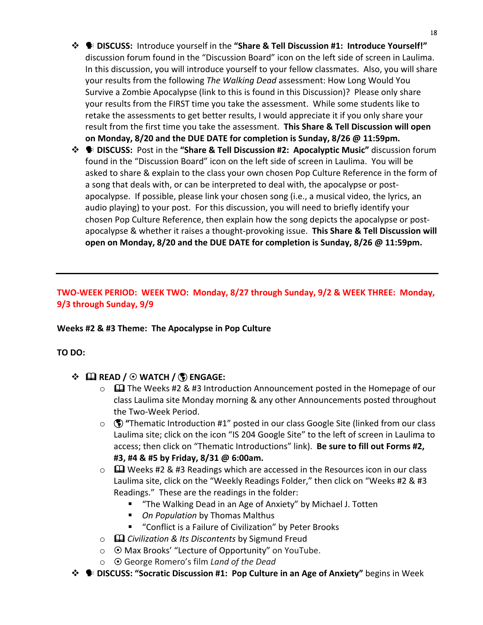- $\hat{\cdot}$  **●** DISCUSS: Introduce yourself in the "Share & Tell Discussion #1: Introduce Yourself!" discussion forum found in the "Discussion Board" icon on the left side of screen in Laulima. In this discussion, you will introduce yourself to your fellow classmates. Also, you will share your results from the following *The Walking Dead* assessment: How Long Would You Survive a Zombie Apocalypse (link to this is found in this Discussion)? Please only share your results from the FIRST time you take the assessment. While some students like to retake the assessments to get better results, I would appreciate it if you only share your result from the first time you take the assessment. This Share & Tell Discussion will open **on Monday, 8/20 and the DUE DATE for completion is Sunday, 8/26 @ 11:59pm.**
- $\hat{\mathbf{\cdot}}$  **<b>•** DISCUSS: Post in the "Share & Tell Discussion #2: Apocalyptic Music" discussion forum found in the "Discussion Board" icon on the left side of screen in Laulima. You will be asked to share & explain to the class your own chosen Pop Culture Reference in the form of a song that deals with, or can be interpreted to deal with, the apocalypse or postapocalypse. If possible, please link your chosen song (i.e., a musical video, the lyrics, an audio playing) to your post. For this discussion, you will need to briefly identify your chosen Pop Culture Reference, then explain how the song depicts the apocalypse or postapocalypse & whether it raises a thought-provoking issue. This Share & Tell Discussion will **open on Monday, 8/20 and the DUE DATE for completion is Sunday, 8/26 @ 11:59pm.**

# TWO-WEEK PERIOD: WEEK TWO: Monday, 8/27 through Sunday, 9/2 & WEEK THREE: Monday, **9/3 through Sunday, 9/9**

#### **Weeks #2 & #3 Theme: The Apocalypse in Pop Culture**

#### **TO DO:**

- v & **READ /** 8 **WATCH /** þ **ENGAGE:**
	- $\circ$   $\Box$  The Weeks #2 & #3 Introduction Announcement posted in the Homepage of our class Laulima site Monday morning & any other Announcements posted throughout the Two-Week Period.
	- ⊙ **(** $\bullet$  "Thematic Introduction #1" posted in our class Google Site (linked from our class Laulima site; click on the icon "IS 204 Google Site" to the left of screen in Laulima to access; then click on "Thematic Introductions" link). Be sure to fill out Forms #2, **#3, #4 & #5 by Friday, 8/31 @ 6:00am.**
	- $\circ$   $\Box$  Weeks #2 & #3 Readings which are accessed in the Resources icon in our class Laulima site, click on the "Weekly Readings Folder," then click on "Weeks #2 & #3 Readings." These are the readings in the folder:
		- "The Walking Dead in an Age of Anxiety" by Michael J. Totten
		- *On Population* by Thomas Malthus
		- "Conflict is a Failure of Civilization" by Peter Brooks
	- o  $\Box$  *Civilization & Its Discontents* by Sigmund Freud
	- $\circ$   $\bullet$  Max Brooks' "Lecture of Opportunity" on YouTube.
	- **⊙** George Romero's film *Land of the Dead*
- **<sup>◆</sup>**  $\blacklozenge$  **DISCUSS: "Socratic Discussion #1: Pop Culture in an Age of Anxiety" begins in Week**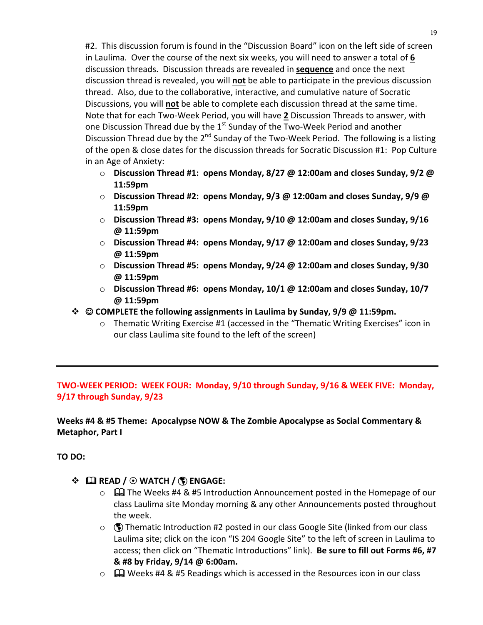#2. This discussion forum is found in the "Discussion Board" icon on the left side of screen in Laulima. Over the course of the next six weeks, you will need to answer a total of 6 discussion threads. Discussion threads are revealed in **sequence** and once the next discussion thread is revealed, you will **not** be able to participate in the previous discussion thread. Also, due to the collaborative, interactive, and cumulative nature of Socratic Discussions, you will **not** be able to complete each discussion thread at the same time. Note that for each Two-Week Period, you will have 2 Discussion Threads to answer, with one Discussion Thread due by the  $1<sup>st</sup>$  Sunday of the Two-Week Period and another Discussion Thread due by the  $2^{nd}$  Sunday of the Two-Week Period. The following is a listing of the open & close dates for the discussion threads for Socratic Discussion #1: Pop Culture in an Age of Anxiety:

- $\circ$  Discussion Thread #1: opens Monday, 8/27 @ 12:00am and closes Sunday, 9/2 @ **11:59pm**
- $\circ$  **Discussion Thread #2: opens Monday, 9/3 @ 12:00am and closes Sunday, 9/9 @ 11:59pm**
- Discussion Thread #3: opens Monday, 9/10 @ 12:00am and closes Sunday, 9/16 **@ 11:59pm**
- Discussion Thread #4: opens Monday, 9/17 @ 12:00am and closes Sunday, 9/23 **@ 11:59pm**
- o **Discussion Thread #5: opens Monday, 9/24 @ 12:00am and closes Sunday, 9/30 @ 11:59pm**
- **Discussion Thread #6: opens Monday, 10/1 @ 12:00am and closes Sunday, 10/7 @ 11:59pm**
- $\diamondsuit$  © COMPLETE the following assignments in Laulima by Sunday, 9/9 @ 11:59pm.
	- $\circ$  Thematic Writing Exercise #1 (accessed in the "Thematic Writing Exercises" icon in our class Laulima site found to the left of the screen)

# **TWO-WEEK PERIOD: WEEK FOUR: Monday, 9/10 through Sunday, 9/16 & WEEK FIVE: Monday, 9/17 through Sunday, 9/23**

Weeks #4 & #5 Theme: Apocalypse NOW & The Zombie Apocalypse as Social Commentary & **Metaphor, Part I** 

# **TO DO:**

- v & **READ /** 8 **WATCH /** þ **ENGAGE:**
	- $\circ$   $\Box$  The Weeks #4 & #5 Introduction Announcement posted in the Homepage of our class Laulima site Monday morning & any other Announcements posted throughout the week.
	- $\circ$  ( $\bullet$ ) Thematic Introduction #2 posted in our class Google Site (linked from our class Laulima site; click on the icon "IS 204 Google Site" to the left of screen in Laulima to access; then click on "Thematic Introductions" link). Be sure to fill out Forms #6, #7 **& #8 by Friday, 9/14 @ 6:00am.**
	- $\circ$   $\Box$  Weeks #4 & #5 Readings which is accessed in the Resources icon in our class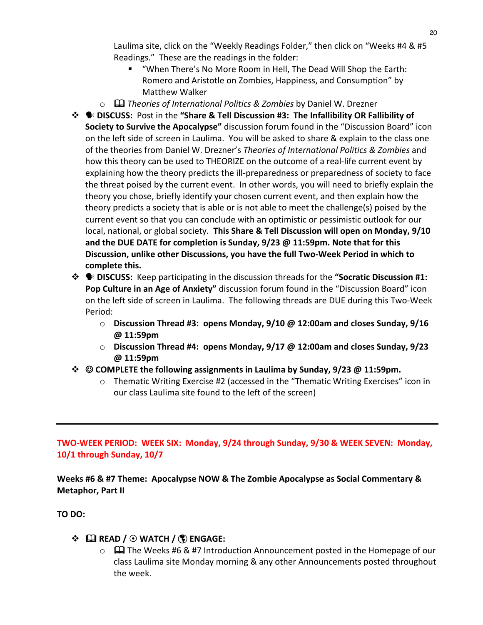Laulima site, click on the "Weekly Readings Folder," then click on "Weeks #4 & #5 Readings." These are the readings in the folder:

- "When There's No More Room in Hell, The Dead Will Shop the Earth: Romero and Aristotle on Zombies, Happiness, and Consumption" by Matthew Walker
- o  $\Box$  *Theories of International Politics & Zombies* by Daniel W. Drezner
- $\hat{\mathbf{\cdot}}$  $\bullet$  DISCUSS: Post in the "Share & Tell Discussion #3: The Infallibility OR Fallibility of **Society to Survive the Apocalypse"** discussion forum found in the "Discussion Board" icon on the left side of screen in Laulima. You will be asked to share & explain to the class one of the theories from Daniel W. Drezner's *Theories of International Politics & Zombies* and how this theory can be used to THEORIZE on the outcome of a real-life current event by explaining how the theory predicts the ill-preparedness or preparedness of society to face the threat poised by the current event. In other words, you will need to briefly explain the theory you chose, briefly identify your chosen current event, and then explain how the theory predicts a society that is able or is not able to meet the challenge(s) poised by the current event so that you can conclude with an optimistic or pessimistic outlook for our local, national, or global society. **This Share & Tell Discussion will open on Monday, 9/10** and the DUE DATE for completion is Sunday,  $9/23$  @ 11:59pm. Note that for this Discussion, unlike other Discussions, you have the full Two-Week Period in which to complete this.
- $\cdot\cdot\cdot$  **DISCUSS:** Keep participating in the discussion threads for the "Socratic Discussion #1: **Pop Culture in an Age of Anxiety"** discussion forum found in the "Discussion Board" icon on the left side of screen in Laulima. The following threads are DUE during this Two-Week Period:
	- o **Discussion Thread #3: opens Monday, 9/10 @ 12:00am and closes Sunday, 9/16 @ 11:59pm**
	- o **Discussion Thread #4: opens Monday, 9/17 @ 12:00am and closes Sunday, 9/23 @ 11:59pm**
- $\diamond$  © COMPLETE the following assignments in Laulima by Sunday, 9/23 @ 11:59pm.
	- $\circ$  Thematic Writing Exercise #2 (accessed in the "Thematic Writing Exercises" icon in our class Laulima site found to the left of the screen)

TWO-WEEK PERIOD: WEEK SIX: Monday, 9/24 through Sunday, 9/30 & WEEK SEVEN: Monday, **10/1 through Sunday, 10/7**

Weeks #6 & #7 Theme: Apocalypse NOW & The Zombie Apocalypse as Social Commentary & **Metaphor, Part II** 

**TO DO:** 

# v & **READ /** 8 **WATCH /** þ **ENGAGE:**

 $\circ$   $\Box$  The Weeks #6 & #7 Introduction Announcement posted in the Homepage of our class Laulima site Monday morning & any other Announcements posted throughout the week.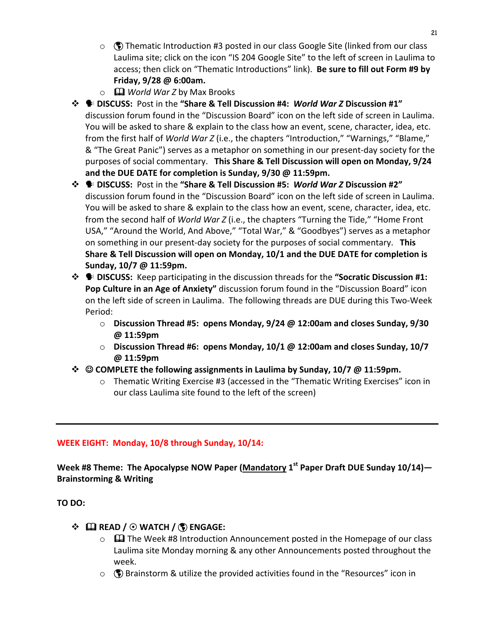- $\circ$  ( $\bullet$ ) Thematic Introduction #3 posted in our class Google Site (linked from our class Laulima site; click on the icon "IS 204 Google Site" to the left of screen in Laulima to access; then click on "Thematic Introductions" link). Be sure to fill out Form #9 by **Friday, 9/28 @ 6:00am.**
- $\circ$  **Q** *World War* Z by Max Brooks
- $\hat{\mathbf{\cdot}}$  **DISCUSS:** Post in the "Share & Tell Discussion #4: World War Z Discussion #1" discussion forum found in the "Discussion Board" icon on the left side of screen in Laulima. You will be asked to share & explain to the class how an event, scene, character, idea, etc. from the first half of *World War Z* (i.e., the chapters "Introduction," "Warnings," "Blame," & "The Great Panic") serves as a metaphor on something in our present-day society for the purposes of social commentary. This Share & Tell Discussion will open on Monday, 9/24 and the DUE DATE for completion is Sunday, 9/30 @ 11:59pm.
- $\hat{\textbf{v}}$  **•** DISCUSS: Post in the "Share & Tell Discussion #5: World War Z Discussion #2" discussion forum found in the "Discussion Board" icon on the left side of screen in Laulima. You will be asked to share & explain to the class how an event, scene, character, idea, etc. from the second half of *World War Z* (i.e., the chapters "Turning the Tide," "Home Front USA," "Around the World, And Above," "Total War," & "Goodbyes") serves as a metaphor on something in our present-day society for the purposes of social commentary. This **Share & Tell Discussion will open on Monday, 10/1 and the DUE DATE for completion is Sunday, 10/7 @ 11:59pm.**
- $\cdot\cdot\cdot$  **DISCUSS:** Keep participating in the discussion threads for the "Socratic Discussion #1: **Pop Culture in an Age of Anxiety"** discussion forum found in the "Discussion Board" icon on the left side of screen in Laulima. The following threads are DUE during this Two-Week Period:
	- o **Discussion Thread #5: opens Monday, 9/24 @ 12:00am and closes Sunday, 9/30 @ 11:59pm**
	- o **Discussion Thread #6: opens Monday, 10/1 @ 12:00am and closes Sunday, 10/7 @ 11:59pm**
- $\diamond$  © COMPLETE the following assignments in Laulima by Sunday, 10/7 @ 11:59pm.
	- $\circ$  Thematic Writing Exercise #3 (accessed in the "Thematic Writing Exercises" icon in our class Laulima site found to the left of the screen)

# **WEEK EIGHT: Monday, 10/8 through Sunday, 10/14:**

**Week #8** Theme: The Apocalypse NOW Paper (Mandatory 1<sup>st</sup> Paper Draft DUE Sunday 10/14)— **Brainstorming & Writing**

**TO DO:** 

# v & **READ /** 8 **WATCH /** þ **ENGAGE:**

- $\circ$   $\Box$  The Week #8 Introduction Announcement posted in the Homepage of our class Laulima site Monday morning & any other Announcements posted throughout the week.
- $\circ$  ( $\bullet$ ) Brainstorm & utilize the provided activities found in the "Resources" icon in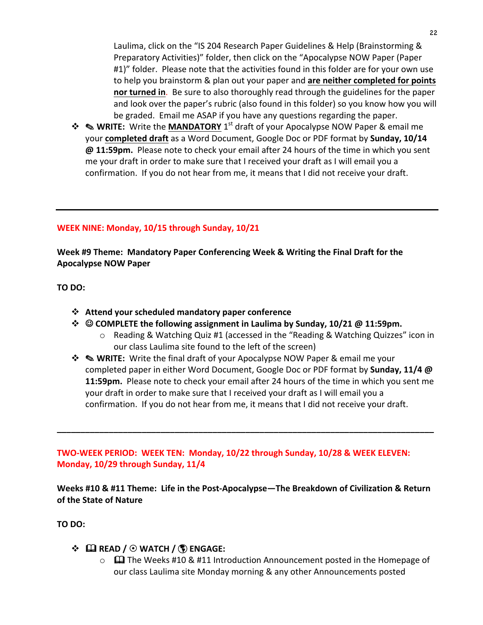Laulima, click on the "IS 204 Research Paper Guidelines & Help (Brainstorming & Preparatory Activities)" folder, then click on the "Apocalypse NOW Paper (Paper #1)" folder. Please note that the activities found in this folder are for your own use to help you brainstorm & plan out your paper and are neither completed for points **nor turned in.** Be sure to also thoroughly read through the guidelines for the paper and look over the paper's rubric (also found in this folder) so you know how you will be graded. Email me ASAP if you have any questions regarding the paper.

 $\dots$  **NRITE:** Write the **MANDATORY** 1<sup>st</sup> draft of your Apocalypse NOW Paper & email me your completed draft as a Word Document, Google Doc or PDF format by Sunday, 10/14 **@ 11:59pm.** Please note to check your email after 24 hours of the time in which you sent me your draft in order to make sure that I received your draft as I will email you a confirmation. If you do not hear from me, it means that I did not receive your draft.

#### **WEEK NINE: Monday, 10/15 through Sunday, 10/21**

**Week #9 Theme: Mandatory Paper Conferencing Week & Writing the Final Draft for the Apocalypse NOW Paper**

**TO DO:** 

- **❖** Attend your scheduled mandatory paper conference
- $\diamond$  © COMPLETE the following assignment in Laulima by Sunday, 10/21 @ 11:59pm.
	- $\circ$  Reading & Watching Quiz #1 (accessed in the "Reading & Watching Quizzes" icon in our class Laulima site found to the left of the screen)
- $\dots$  **Sour WRITE:** Write the final draft of your Apocalypse NOW Paper & email me your completed paper in either Word Document, Google Doc or PDF format by **Sunday, 11/4 @ 11:59pm.** Please note to check your email after 24 hours of the time in which you sent me your draft in order to make sure that I received your draft as I will email you a confirmation. If you do not hear from me, it means that I did not receive your draft.

**TWO-WEEK PERIOD: WEEK TEN: Monday, 10/22 through Sunday, 10/28 & WEEK ELEVEN:** Monday, 10/29 through Sunday, 11/4

**Weeks #10 & #11 Theme: Life in the Post-Apocalypse—The Breakdown of Civilization & Return of the State of Nature**

**\_\_\_\_\_\_\_\_\_\_\_\_\_\_\_\_\_\_\_\_\_\_\_\_\_\_\_\_\_\_\_\_\_\_\_\_\_\_\_\_\_\_\_\_\_\_\_\_\_\_\_\_\_\_\_\_\_\_\_\_\_\_\_\_\_\_\_\_\_\_\_\_\_\_\_\_\_\_\_\_**

**TO DO:** 

# v & **READ /** 8 **WATCH /** þ **ENGAGE:**

 $\circ$   $\Box$  The Weeks #10 & #11 Introduction Announcement posted in the Homepage of our class Laulima site Monday morning & any other Announcements posted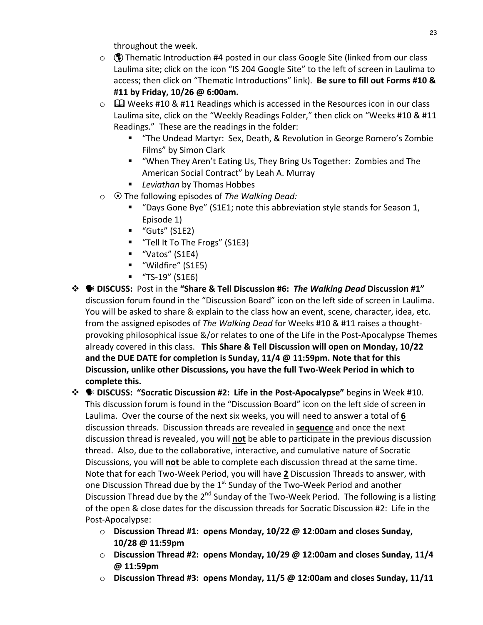throughout the week.

- $\circ$  ( $\circ$ ) Thematic Introduction #4 posted in our class Google Site (linked from our class Laulima site; click on the icon "IS 204 Google Site" to the left of screen in Laulima to access; then click on "Thematic Introductions" link). Be sure to fill out Forms #10 & **#11 by Friday, 10/26 @ 6:00am.**
- $\circ$   $\Box$  Weeks #10 & #11 Readings which is accessed in the Resources icon in our class Laulima site, click on the "Weekly Readings Folder," then click on "Weeks #10 & #11 Readings." These are the readings in the folder:
	- "The Undead Martyr: Sex, Death, & Revolution in George Romero's Zombie Films" by Simon Clark
	- "When They Aren't Eating Us, They Bring Us Together: Zombies and The American Social Contract" by Leah A. Murray
	- *Leviathan* by Thomas Hobbes
- o ⊙ The following episodes of *The Walking Dead:* 
	- § "Days Gone Bye" (S1E1; note this abbreviation style stands for Season 1, Episode 1)
	- $\blacksquare$  "Guts" (S1E2)
	- "Tell It To The Frogs" (S1E3)
	- "Vatos" (S1E4)
	- "Wildfire" (S1E5)
	- $\blacksquare$  "TS-19" (S1E6)
- **<sup>❖</sup>**  $\bullet$  **DISCUSS:** Post in the "Share & Tell Discussion #6: *The Walking Dead* Discussion #1" discussion forum found in the "Discussion Board" icon on the left side of screen in Laulima. You will be asked to share & explain to the class how an event, scene, character, idea, etc. from the assigned episodes of *The Walking Dead* for Weeks #10 & #11 raises a thoughtprovoking philosophical issue  $\&\sqrt{$  or relates to one of the Life in the Post-Apocalypse Themes already covered in this class. This Share & Tell Discussion will open on Monday, 10/22 and the DUE DATE for completion is Sunday, 11/4 @ 11:59pm. Note that for this Discussion, unlike other Discussions, you have the full Two-Week Period in which to complete this.

 $\hat{\mathbf{\cdot}}$  **<b>•** DISCUSS: "Socratic Discussion #2: Life in the Post-Apocalypse" begins in Week #10. This discussion forum is found in the "Discussion Board" icon on the left side of screen in Laulima. Over the course of the next six weeks, you will need to answer a total of 6 discussion threads. Discussion threads are revealed in **sequence** and once the next discussion thread is revealed, you will **not** be able to participate in the previous discussion thread. Also, due to the collaborative, interactive, and cumulative nature of Socratic Discussions, you will **not** be able to complete each discussion thread at the same time. Note that for each Two-Week Period, you will have 2 Discussion Threads to answer, with one Discussion Thread due by the  $1<sup>st</sup>$  Sunday of the Two-Week Period and another Discussion Thread due by the  $2^{nd}$  Sunday of the Two-Week Period. The following is a listing of the open & close dates for the discussion threads for Socratic Discussion #2: Life in the Post-Apocalypse:

- **Discussion Thread #1: opens Monday, 10/22 @ 12:00am and closes Sunday, 10/28 @ 11:59pm**
- o **Discussion Thread #2: opens Monday, 10/29 @ 12:00am and closes Sunday, 11/4 @ 11:59pm**
- $\circ$  Discussion Thread #3: opens Monday, 11/5  $\omega$  12:00am and closes Sunday, 11/11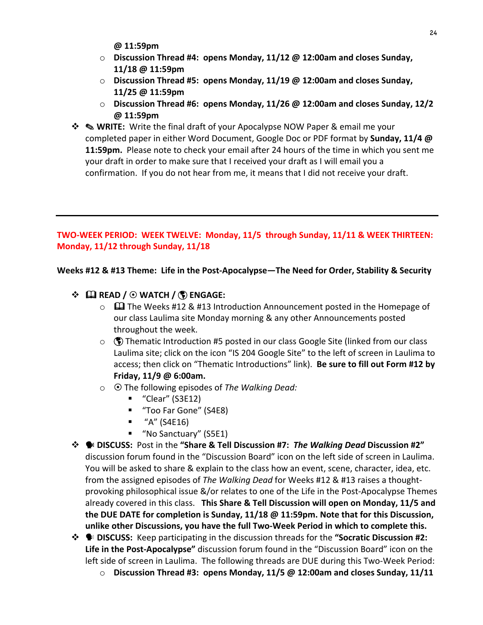**@ 11:59pm**

- $\circ$  **Discussion Thread #4: opens Monday, 11/12 @ 12:00am and closes Sunday, 11/18 @ 11:59pm**
- $\circ$  **Discussion Thread #5: opens Monday, 11/19** @ 12:00am and closes Sunday, **11/25 @ 11:59pm**
- o **Discussion Thread #6: opens Monday, 11/26 @ 12:00am and closes Sunday, 12/2 @ 11:59pm**
- $\diamond$  **NRITE:** Write the final draft of your Apocalypse NOW Paper & email me your completed paper in either Word Document, Google Doc or PDF format by **Sunday, 11/4 @ 11:59pm.** Please note to check your email after 24 hours of the time in which you sent me your draft in order to make sure that I received your draft as I will email you a confirmation. If you do not hear from me, it means that I did not receive your draft.

# **TWO-WEEK PERIOD: WEEK TWELVE: Monday, 11/5 through Sunday, 11/11 & WEEK THIRTEEN:** Monday, 11/12 through Sunday, 11/18

Weeks #12 & #13 Theme: Life in the Post-Apocalypse—The Need for Order, Stability & Security

# v & **READ /** 8 **WATCH /** þ **ENGAGE:**

- $\circ$   $\Box$  The Weeks #12 & #13 Introduction Announcement posted in the Homepage of our class Laulima site Monday morning & any other Announcements posted throughout the week.
- $\circ$  ( $\bullet$ ) Thematic Introduction #5 posted in our class Google Site (linked from our class Laulima site; click on the icon "IS 204 Google Site" to the left of screen in Laulima to access; then click on "Thematic Introductions" link). Be sure to fill out Form #12 by **Friday, 11/9 @ 6:00am.**
- **O** The following episodes of *The Walking Dead:* 
	- "Clear" (S3E12)
	- "Too Far Gone" (S4E8)
	- $\blacksquare$  "A" (S4E16)
	- "No Sanctuary" (S5E1)
- **<sup>❖</sup>**  $\bullet$  **DISCUSS:** Post in the "Share & Tell Discussion #7: The Walking Dead Discussion #2" discussion forum found in the "Discussion Board" icon on the left side of screen in Laulima. You will be asked to share & explain to the class how an event, scene, character, idea, etc. from the assigned episodes of *The Walking Dead* for Weeks #12 & #13 raises a thoughtprovoking philosophical issue &/or relates to one of the Life in the Post-Apocalypse Themes already covered in this class. This Share & Tell Discussion will open on Monday, 11/5 and **the DUE DATE for completion is Sunday, 11/18 @ 11:59pm. Note that for this Discussion,** unlike other Discussions, you have the full Two-Week Period in which to complete this.
- $\cdot$  $\cdot$  $\bullet$  **DISCUSS:** Keep participating in the discussion threads for the "Socratic Discussion #2: **Life in the Post-Apocalypse"** discussion forum found in the "Discussion Board" icon on the left side of screen in Laulima. The following threads are DUE during this Two-Week Period:
	- o **Discussion Thread #3: opens Monday, 11/5 @ 12:00am and closes Sunday, 11/11**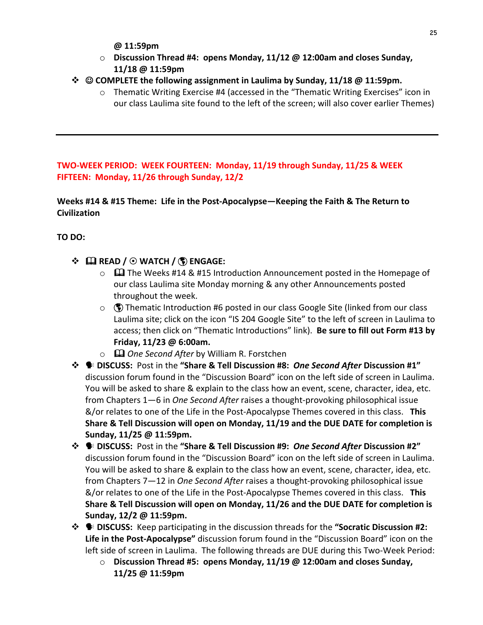- **@ 11:59pm**
- $\circ$  **Discussion Thread #4: opens Monday, 11/12 @ 12:00am and closes Sunday, 11/18 @ 11:59pm**
- $\dots$  **© COMPLETE** the following assignment in Laulima by Sunday, 11/18 @ 11:59pm.
	- $\circ$  Thematic Writing Exercise #4 (accessed in the "Thematic Writing Exercises" icon in our class Laulima site found to the left of the screen; will also cover earlier Themes)

**TWO-WEEK PERIOD: WEEK FOURTEEN: Monday, 11/19 through Sunday, 11/25 & WEEK**  FIFTEEN: Monday, 11/26 through Sunday, 12/2

**Weeks #14 & #15 Theme: Life in the Post-Apocalypse—Keeping the Faith & The Return to Civilization**

**TO DO:**

# v & **READ /** 8 **WATCH /** þ **ENGAGE:**

- $\circ$   $\Box$  The Weeks #14 & #15 Introduction Announcement posted in the Homepage of our class Laulima site Monday morning & any other Announcements posted throughout the week.
- $\circ$  ( $\circ$ ) Thematic Introduction #6 posted in our class Google Site (linked from our class Laulima site; click on the icon "IS 204 Google Site" to the left of screen in Laulima to access; then click on "Thematic Introductions" link). Be sure to fill out Form #13 by **Friday, 11/23 @ 6:00am.**
- **■ One Second After by William R. Forstchen**
- $\hat{\textbf{v}}$  **•** DISCUSS: Post in the "Share & Tell Discussion #8: *One Second After* Discussion #1" discussion forum found in the "Discussion Board" icon on the left side of screen in Laulima. You will be asked to share & explain to the class how an event, scene, character, idea, etc. from Chapters 1—6 in *One Second After* raises a thought-provoking philosophical issue  $\&$ /or relates to one of the Life in the Post-Apocalypse Themes covered in this class. This **Share & Tell Discussion will open on Monday, 11/19 and the DUE DATE for completion is Sunday, 11/25 @ 11:59pm.**
- $\hat{\textbf{v}}$   **DISCUSS:** Post in the "Share & Tell Discussion #9: *One Second After* Discussion #2" discussion forum found in the "Discussion Board" icon on the left side of screen in Laulima. You will be asked to share & explain to the class how an event, scene, character, idea, etc. from Chapters 7-12 in *One Second After* raises a thought-provoking philosophical issue &/or relates to one of the Life in the Post-Apocalypse Themes covered in this class. This **Share & Tell Discussion will open on Monday, 11/26 and the DUE DATE for completion is Sunday, 12/2 @ 11:59pm.**
- $\hat{\mathbf{\cdot}}$  **•** DISCUSS: Keep participating in the discussion threads for the "Socratic Discussion #2: **Life in the Post-Apocalypse"** discussion forum found in the "Discussion Board" icon on the left side of screen in Laulima. The following threads are DUE during this Two-Week Period:
	- Discussion Thread #5: opens Monday, 11/19 @ 12:00am and closes Sunday, **11/25 @ 11:59pm**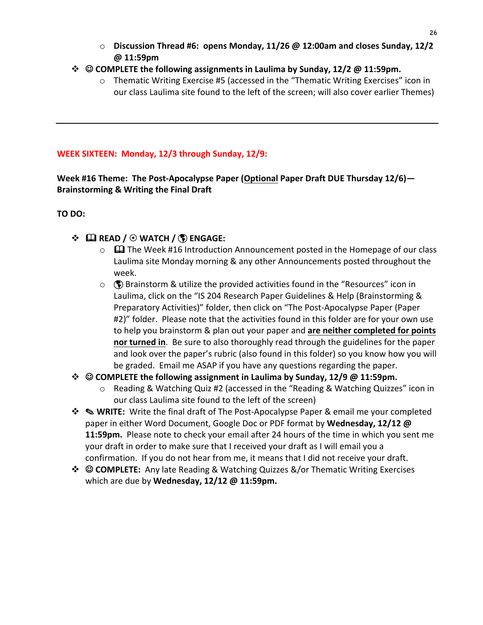o **Discussion Thread #6: opens Monday, 11/26 @ 12:00am and closes Sunday, 12/2 @ 11:59pm**

#### $\diamond$  © COMPLETE the following assignments in Laulima by Sunday, 12/2 @ 11:59pm.

 $\circ$  Thematic Writing Exercise #5 (accessed in the "Thematic Writing Exercises" icon in our class Laulima site found to the left of the screen; will also cover earlier Themes)

#### **WEEK SIXTEEN: Monday, 12/3 through Sunday, 12/9:**

**Week** #16 Theme: The Post-Apocalypse Paper (Optional Paper Draft DUE Thursday 12/6)— **Brainstorming & Writing the Final Draft**

#### **TO** DO:

# v & **READ /** 8 **WATCH /** þ **ENGAGE:**

- $\circ$   $\Box$  The Week #16 Introduction Announcement posted in the Homepage of our class Laulima site Monday morning & any other Announcements posted throughout the week.
- $\circ$  ( $\bullet$ ) Brainstorm & utilize the provided activities found in the "Resources" icon in Laulima, click on the "IS 204 Research Paper Guidelines & Help (Brainstorming & Preparatory Activities)" folder, then click on "The Post-Apocalypse Paper (Paper #2)" folder. Please note that the activities found in this folder are for your own use to help you brainstorm & plan out your paper and are neither completed for points **nor turned in**. Be sure to also thoroughly read through the guidelines for the paper and look over the paper's rubric (also found in this folder) so you know how you will be graded. Email me ASAP if you have any questions regarding the paper.

# $\diamond$  © COMPLETE the following assignment in Laulima by Sunday, 12/9 @ 11:59pm.

- $\circ$  Reading & Watching Quiz #2 (accessed in the "Reading & Watching Quizzes" icon in our class Laulima site found to the left of the screen)
- $\diamond$  **NRITE:** Write the final draft of The Post-Apocalypse Paper & email me your completed paper in either Word Document, Google Doc or PDF format by Wednesday, 12/12 @ **11:59pm.** Please note to check your email after 24 hours of the time in which you sent me your draft in order to make sure that I received your draft as I will email you a confirmation. If you do not hear from me, it means that I did not receive your draft.
- $\div$  **© COMPLETE:** Any late Reading & Watching Quizzes &/or Thematic Writing Exercises which are due by **Wednesday, 12/12 @ 11:59pm.**